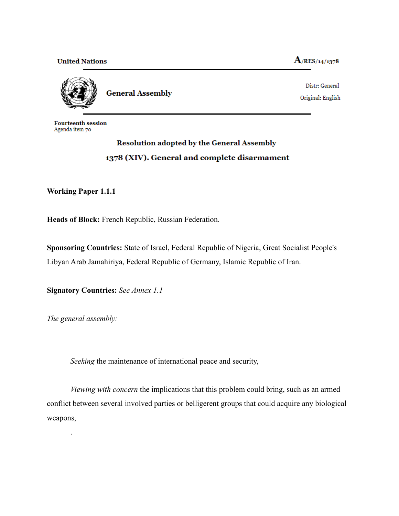**United Nations** 

 $A$ /RES/14/1378



**General Assembly** 

Distr: General Original: English

**Fourteenth session** Agenda item 70

## **Resolution adopted by the General Assembly** 1378 (XIV). General and complete disarmament

## **Working Paper 1.1.1**

**Heads of Block:** French Republic, Russian Federation.

**Sponsoring Countries:** State of Israel, Federal Republic of Nigeria, Great Socialist People's Libyan Arab Jamahiriya, Federal Republic of Germany, Islamic Republic of Iran.

**Signatory Countries:** *See Annex 1.1*

*The general assembly:*

.

*Seeking* the maintenance of international peace and security,

*Viewing with concern* the implications that this problem could bring, such as an armed conflict between several involved parties or belligerent groups that could acquire any biological weapons,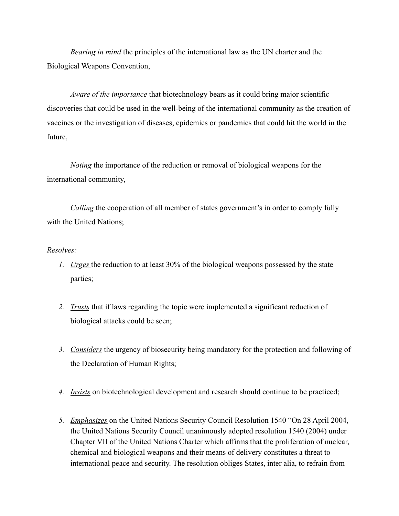*Bearing in mind* the principles of the international law as the UN charter and the Biological Weapons Convention,

*Aware of the importance* that biotechnology bears as it could bring major scientific discoveries that could be used in the well-being of the international community as the creation of vaccines or the investigation of diseases, epidemics or pandemics that could hit the world in the future,

*Noting* the importance of the reduction or removal of biological weapons for the international community,

*Calling* the cooperation of all member of states government's in order to comply fully with the United Nations;

## *Resolves:*

- *1. Urges* the reduction to at least 30% of the biological weapons possessed by the state parties;
- *2. Trusts* that if laws regarding the topic were implemented a significant reduction of biological attacks could be seen;
- *3. Considers* the urgency of biosecurity being mandatory for the protection and following of the Declaration of Human Rights;
- *4. Insists* on biotechnological development and research should continue to be practiced;
- *5. Emphasizes* on the United Nations Security Council Resolution 1540 "On 28 April 2004, the United Nations Security Council unanimously adopted resolution 1540 (2004) under Chapter VII of the United Nations Charter which affirms that the proliferation of nuclear, chemical and biological weapons and their means of delivery constitutes a threat to international peace and security. The resolution obliges States, inter alia, to refrain from